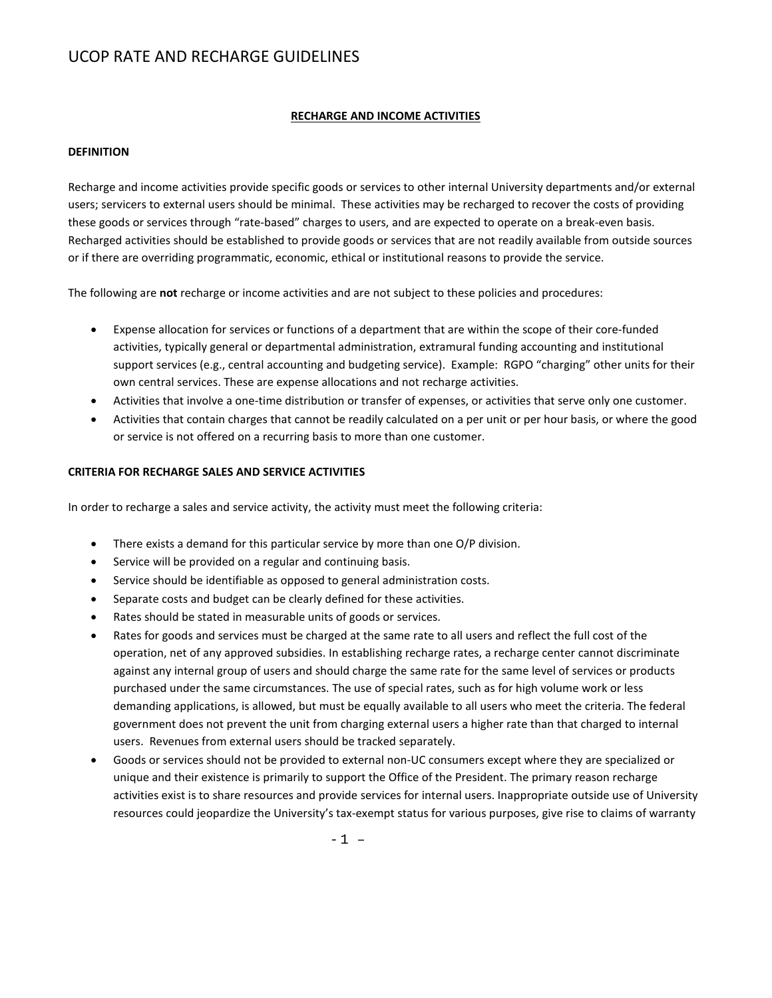#### **RECHARGE AND INCOME ACTIVITIES**

#### **DEFINITION**

Recharge and income activities provide specific goods or services to other internal University departments and/or external users; servicers to external users should be minimal. These activities may be recharged to recover the costs of providing these goods or services through "rate-based" charges to users, and are expected to operate on a break-even basis. Recharged activities should be established to provide goods or services that are not readily available from outside sources or if there are overriding programmatic, economic, ethical or institutional reasons to provide the service.

The following are **not** recharge or income activities and are not subject to these policies and procedures:

- Expense allocation for services or functions of a department that are within the scope of their core-funded activities, typically general or departmental administration, extramural funding accounting and institutional support services (e.g., central accounting and budgeting service). Example: RGPO "charging" other units for their own central services. These are expense allocations and not recharge activities.
- Activities that involve a one-time distribution or transfer of expenses, or activities that serve only one customer.
- Activities that contain charges that cannot be readily calculated on a per unit or per hour basis, or where the good or service is not offered on a recurring basis to more than one customer.

#### **CRITERIA FOR RECHARGE SALES AND SERVICE ACTIVITIES**

In order to recharge a sales and service activity, the activity must meet the following criteria:

- There exists a demand for this particular service by more than one O/P division.
- Service will be provided on a regular and continuing basis.
- Service should be identifiable as opposed to general administration costs.
- Separate costs and budget can be clearly defined for these activities.
- Rates should be stated in measurable units of goods or services.
- Rates for goods and services must be charged at the same rate to all users and reflect the full cost of the operation, net of any approved subsidies. In establishing recharge rates, a recharge center cannot discriminate against any internal group of users and should charge the same rate for the same level of services or products purchased under the same circumstances. The use of special rates, such as for high volume work or less demanding applications, is allowed, but must be equally available to all users who meet the criteria. The federal government does not prevent the unit from charging external users a higher rate than that charged to internal users. Revenues from external users should be tracked separately.
- Goods or services should not be provided to external non-UC consumers except where they are specialized or unique and their existence is primarily to support the Office of the President. The primary reason recharge activities exist is to share resources and provide services for internal users. Inappropriate outside use of University resources could jeopardize the University's tax-exempt status for various purposes, give rise to claims of warranty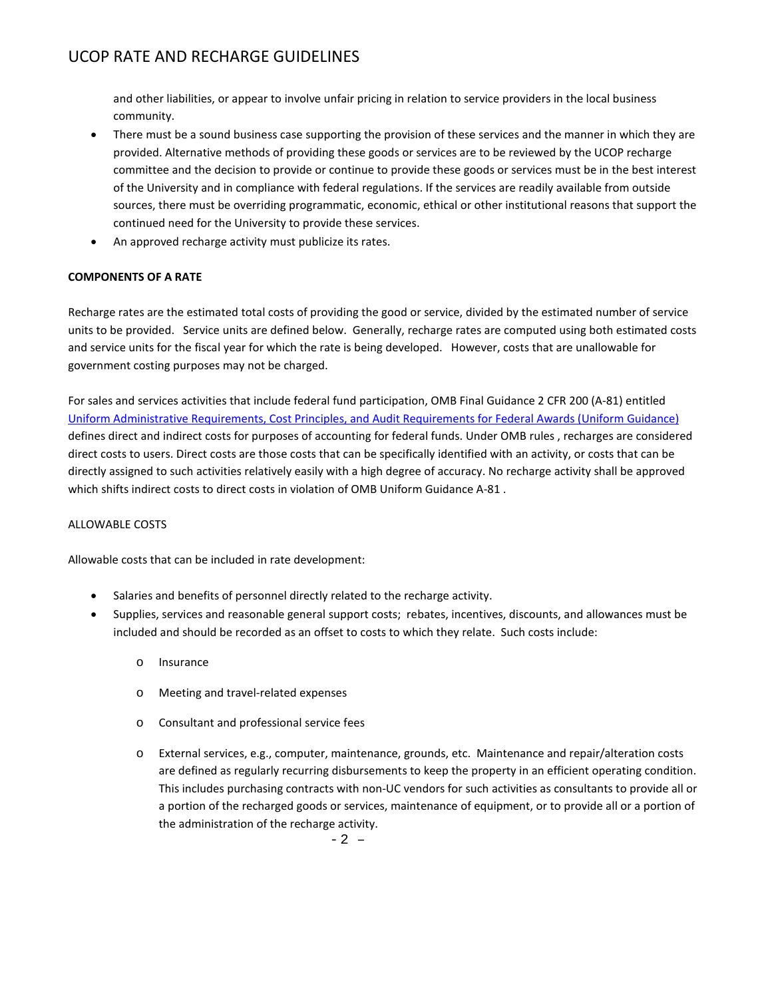and other liabilities, or appear to involve unfair pricing in relation to service providers in the local business community.

- There must be a sound business case supporting the provision of these services and the manner in which they are provided. Alternative methods of providing these goods or services are to be reviewed by the UCOP recharge committee and the decision to provide or continue to provide these goods or services must be in the best interest of the University and in compliance with federal regulations. If the services are readily available from outside sources, there must be overriding programmatic, economic, ethical or other institutional reasons that support the continued need for the University to provide these services.
- An approved recharge activity must publicize its rates.

### **COMPONENTS OF A RATE**

Recharge rates are the estimated total costs of providing the good or service, divided by the estimated number of service units to be provided. Service units are defined below. Generally, recharge rates are computed using both estimated costs and service units for the fiscal year for which the rate is being developed. However, costs that are unallowable for government costing purposes may not be charged.

For sales and services activities that include federal fund participation, OMB Final Guidance 2 CFR 200 (A-81) entitled [Uniform Administrative Requirements, Cost Principles, and Audit Requirements for Federal Awards \(Uniform Guidance\)](http://www.ecfr.gov/cgi-bin/text-idx?node=2:1.1.2.2.1&rgn=div5) defines direct and indirect costs for purposes of accounting for federal funds. Under OMB rules , recharges are considered direct costs to users. Direct costs are those costs that can be specifically identified with an activity, or costs that can be directly assigned to such activities relatively easily with a high degree of accuracy. No recharge activity shall be approved which shifts indirect costs to direct costs in violation of OMB Uniform Guidance A-81 .

### ALLOWABLE COSTS

Allowable costs that can be included in rate development:

- Salaries and benefits of personnel directly related to the recharge activity.
- Supplies, services and reasonable general support costs; rebates, incentives, discounts, and allowances must be included and should be recorded as an offset to costs to which they relate. Such costs include:
	- o Insurance
	- o Meeting and travel-related expenses
	- o Consultant and professional service fees
	- o External services, e.g., computer, maintenance, grounds, etc. Maintenance and repair/alteration costs are defined as regularly recurring disbursements to keep the property in an efficient operating condition. This includes purchasing contracts with non-UC vendors for such activities as consultants to provide all or a portion of the recharged goods or services, maintenance of equipment, or to provide all or a portion of the administration of the recharge activity.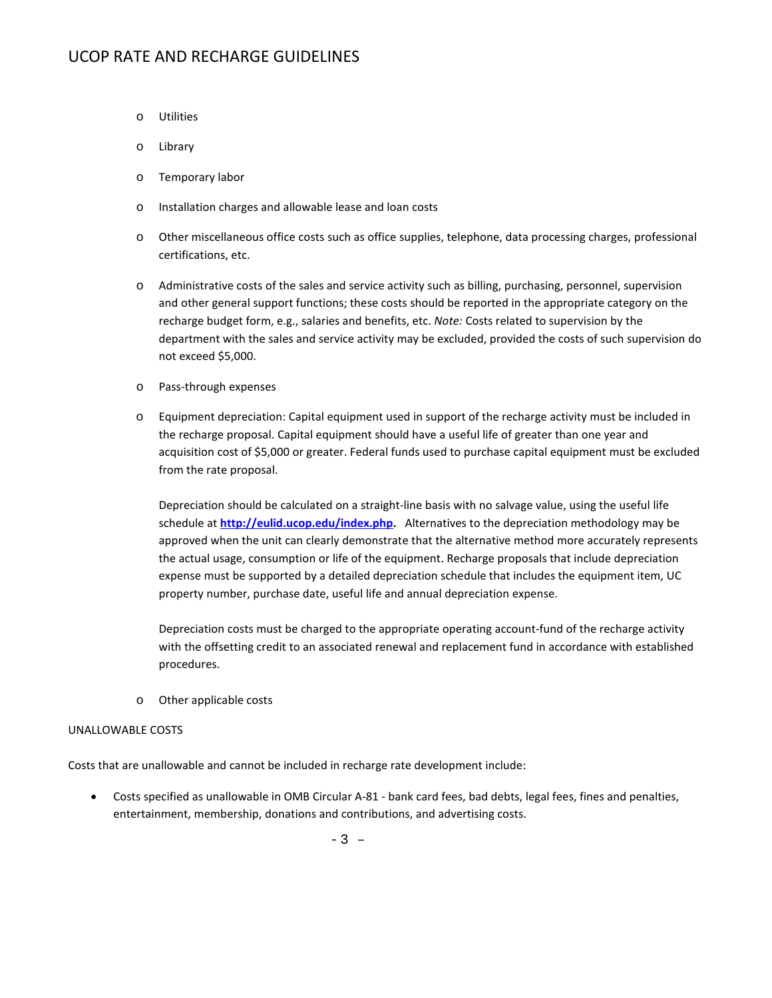- o Utilities
- o Library
- o Temporary labor
- o Installation charges and allowable lease and loan costs
- o Other miscellaneous office costs such as office supplies, telephone, data processing charges, professional certifications, etc.
- o Administrative costs of the sales and service activity such as billing, purchasing, personnel, supervision and other general support functions; these costs should be reported in the appropriate category on the recharge budget form, e.g., salaries and benefits, etc. *Note:* Costs related to supervision by the department with the sales and service activity may be excluded, provided the costs of such supervision do not exceed \$5,000.
- o Pass-through expenses
- o Equipment depreciation: Capital equipment used in support of the recharge activity must be included in the recharge proposal. Capital equipment should have a useful life of greater than one year and acquisition cost of \$5,000 or greater. Federal funds used to purchase capital equipment must be excluded from the rate proposal.

Depreciation should be calculated on a straight-line basis with no salvage value, using the useful life schedule at **[http://eulid.ucop.edu/index.php.](http://eulid.ucop.edu/index.php)** Alternatives to the depreciation methodology may be approved when the unit can clearly demonstrate that the alternative method more accurately represents the actual usage, consumption or life of the equipment. Recharge proposals that include depreciation expense must be supported by a detailed depreciation schedule that includes the equipment item, UC property number, purchase date, useful life and annual depreciation expense.

Depreciation costs must be charged to the appropriate operating account-fund of the recharge activity with the offsetting credit to an associated renewal and replacement fund in accordance with established procedures.

o Other applicable costs

#### UNALLOWABLE COSTS

Costs that are unallowable and cannot be included in recharge rate development include:

• Costs specified as unallowable in OMB Circular A-81 - bank card fees, bad debts, legal fees, fines and penalties, entertainment, membership, donations and contributions, and advertising costs.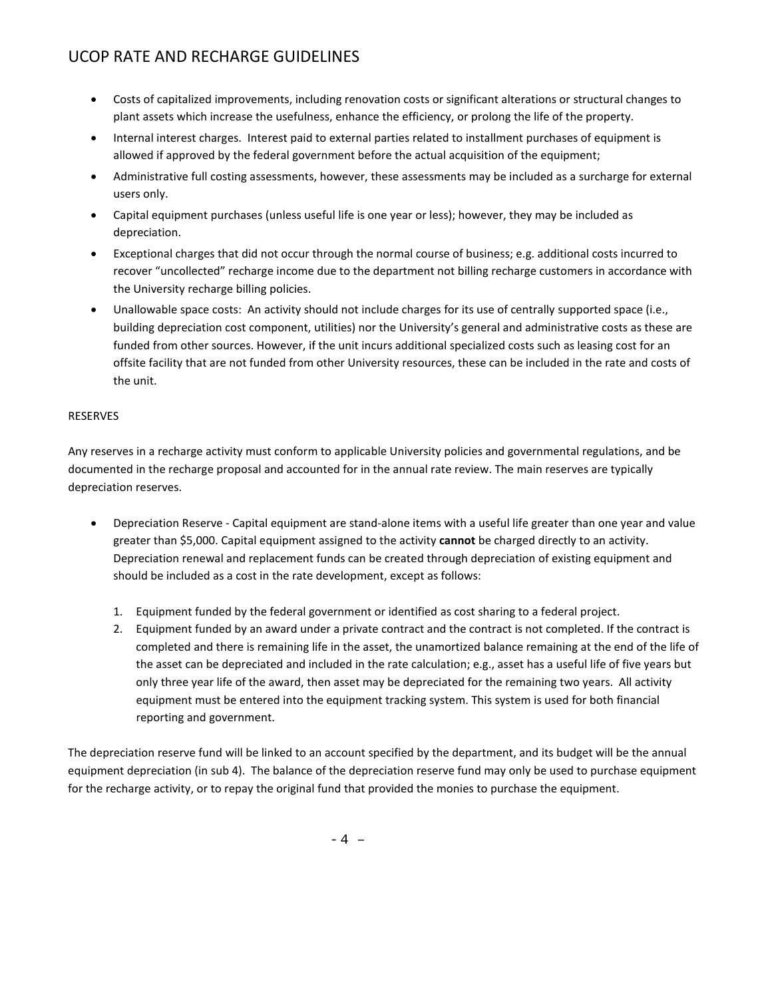- Costs of capitalized improvements, including renovation costs or significant alterations or structural changes to plant assets which increase the usefulness, enhance the efficiency, or prolong the life of the property.
- Internal interest charges. Interest paid to external parties related to installment purchases of equipment is allowed if approved by the federal government before the actual acquisition of the equipment;
- Administrative full costing assessments, however, these assessments may be included as a surcharge for external users only.
- Capital equipment purchases (unless useful life is one year or less); however, they may be included as depreciation.
- Exceptional charges that did not occur through the normal course of business; e.g. additional costs incurred to recover "uncollected" recharge income due to the department not billing recharge customers in accordance with the University recharge billing policies.
- Unallowable space costs: An activity should not include charges for its use of centrally supported space (i.e., building depreciation cost component, utilities) nor the University's general and administrative costs as these are funded from other sources. However, if the unit incurs additional specialized costs such as leasing cost for an offsite facility that are not funded from other University resources, these can be included in the rate and costs of the unit.

#### RESERVES

Any reserves in a recharge activity must conform to applicable University policies and governmental regulations, and be documented in the recharge proposal and accounted for in the annual rate review. The main reserves are typically depreciation reserves.

- Depreciation Reserve Capital equipment are stand-alone items with a useful life greater than one year and value greater than \$5,000. Capital equipment assigned to the activity **cannot** be charged directly to an activity. Depreciation renewal and replacement funds can be created through depreciation of existing equipment and should be included as a cost in the rate development, except as follows:
	- 1. Equipment funded by the federal government or identified as cost sharing to a federal project.
	- 2. Equipment funded by an award under a private contract and the contract is not completed. If the contract is completed and there is remaining life in the asset, the unamortized balance remaining at the end of the life of the asset can be depreciated and included in the rate calculation; e.g., asset has a useful life of five years but only three year life of the award, then asset may be depreciated for the remaining two years. All activity equipment must be entered into the equipment tracking system. This system is used for both financial reporting and government.

The depreciation reserve fund will be linked to an account specified by the department, and its budget will be the annual equipment depreciation (in sub 4). The balance of the depreciation reserve fund may only be used to purchase equipment for the recharge activity, or to repay the original fund that provided the monies to purchase the equipment.

-4 –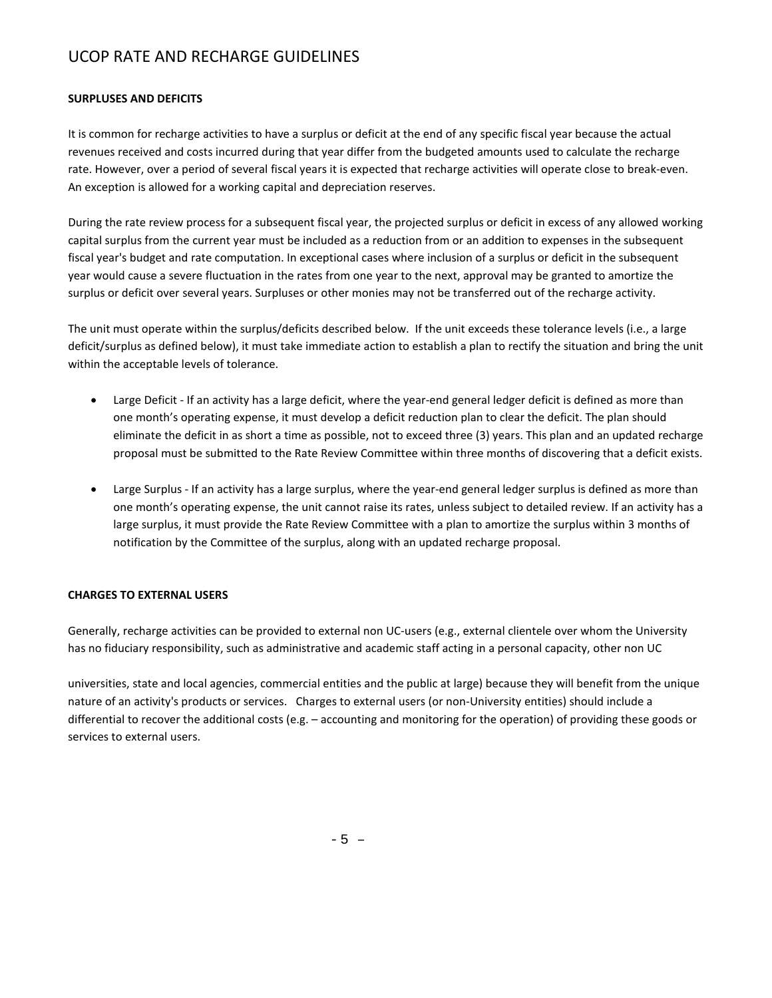#### **SURPLUSES AND DEFICITS**

It is common for recharge activities to have a surplus or deficit at the end of any specific fiscal year because the actual revenues received and costs incurred during that year differ from the budgeted amounts used to calculate the recharge rate. However, over a period of several fiscal years it is expected that recharge activities will operate close to break-even. An exception is allowed for a working capital and depreciation reserves.

During the rate review process for a subsequent fiscal year, the projected surplus or deficit in excess of any allowed working capital surplus from the current year must be included as a reduction from or an addition to expenses in the subsequent fiscal year's budget and rate computation. In exceptional cases where inclusion of a surplus or deficit in the subsequent year would cause a severe fluctuation in the rates from one year to the next, approval may be granted to amortize the surplus or deficit over several years. Surpluses or other monies may not be transferred out of the recharge activity.

The unit must operate within the surplus/deficits described below. If the unit exceeds these tolerance levels (i.e., a large deficit/surplus as defined below), it must take immediate action to establish a plan to rectify the situation and bring the unit within the acceptable levels of tolerance.

- Large Deficit If an activity has a large deficit, where the year-end general ledger deficit is defined as more than one month's operating expense, it must develop a deficit reduction plan to clear the deficit. The plan should eliminate the deficit in as short a time as possible, not to exceed three (3) years. This plan and an updated recharge proposal must be submitted to the Rate Review Committee within three months of discovering that a deficit exists.
- Large Surplus If an activity has a large surplus, where the year-end general ledger surplus is defined as more than one month's operating expense, the unit cannot raise its rates, unless subject to detailed review. If an activity has a large surplus, it must provide the Rate Review Committee with a plan to amortize the surplus within 3 months of notification by the Committee of the surplus, along with an updated recharge proposal.

#### **CHARGES TO EXTERNAL USERS**

Generally, recharge activities can be provided to external non UC-users (e.g., external clientele over whom the University has no fiduciary responsibility, such as administrative and academic staff acting in a personal capacity, other non UC

universities, state and local agencies, commercial entities and the public at large) because they will benefit from the unique nature of an activity's products or services. Charges to external users (or non-University entities) should include a differential to recover the additional costs (e.g. – accounting and monitoring for the operation) of providing these goods or services to external users.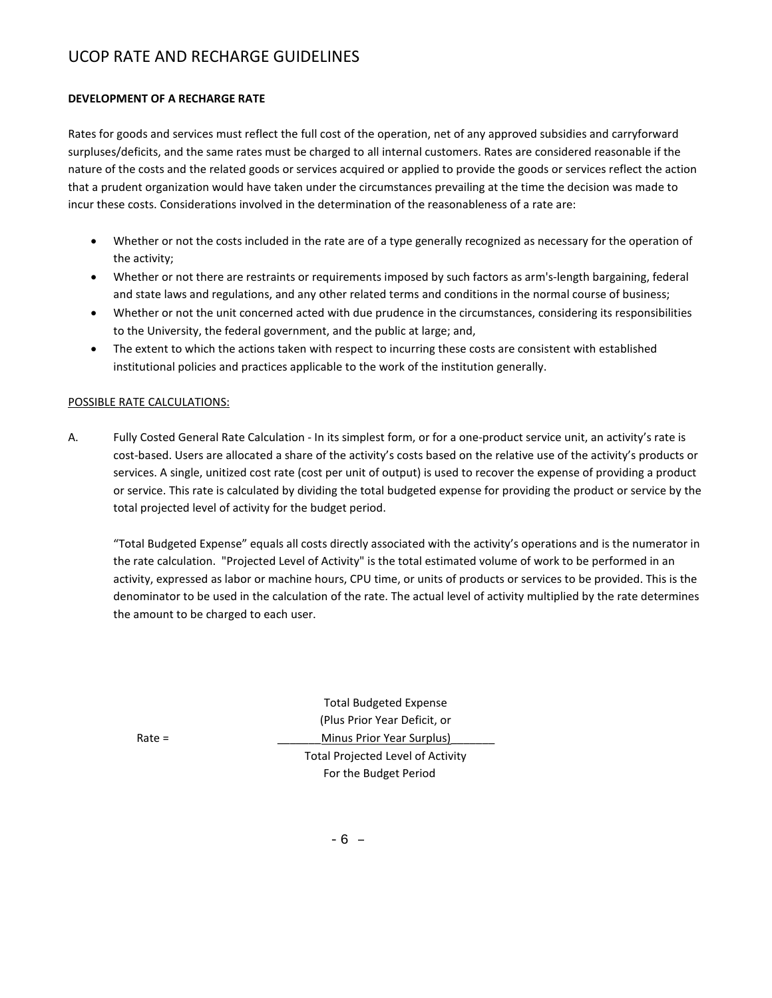#### **DEVELOPMENT OF A RECHARGE RATE**

Rates for goods and services must reflect the full cost of the operation, net of any approved subsidies and carryforward surpluses/deficits, and the same rates must be charged to all internal customers. Rates are considered reasonable if the nature of the costs and the related goods or services acquired or applied to provide the goods or services reflect the action that a prudent organization would have taken under the circumstances prevailing at the time the decision was made to incur these costs. Considerations involved in the determination of the reasonableness of a rate are:

- Whether or not the costs included in the rate are of a type generally recognized as necessary for the operation of the activity;
- Whether or not there are restraints or requirements imposed by such factors as arm's-length bargaining, federal and state laws and regulations, and any other related terms and conditions in the normal course of business;
- Whether or not the unit concerned acted with due prudence in the circumstances, considering its responsibilities to the University, the federal government, and the public at large; and,
- The extent to which the actions taken with respect to incurring these costs are consistent with established institutional policies and practices applicable to the work of the institution generally.

#### POSSIBLE RATE CALCULATIONS:

A. Fully Costed General Rate Calculation - In its simplest form, or for a one-product service unit, an activity's rate is cost-based. Users are allocated a share of the activity's costs based on the relative use of the activity's products or services. A single, unitized cost rate (cost per unit of output) is used to recover the expense of providing a product or service. This rate is calculated by dividing the total budgeted expense for providing the product or service by the total projected level of activity for the budget period.

"Total Budgeted Expense" equals all costs directly associated with the activity's operations and is the numerator in the rate calculation. "Projected Level of Activity" is the total estimated volume of work to be performed in an activity, expressed as labor or machine hours, CPU time, or units of products or services to be provided. This is the denominator to be used in the calculation of the rate. The actual level of activity multiplied by the rate determines the amount to be charged to each user.

Total Budgeted Expense (Plus Prior Year Deficit, or Rate = \_\_\_\_\_\_\_Minus Prior Year Surplus)\_\_\_\_\_\_\_ Total Projected Level of Activity For the Budget Period

-6 –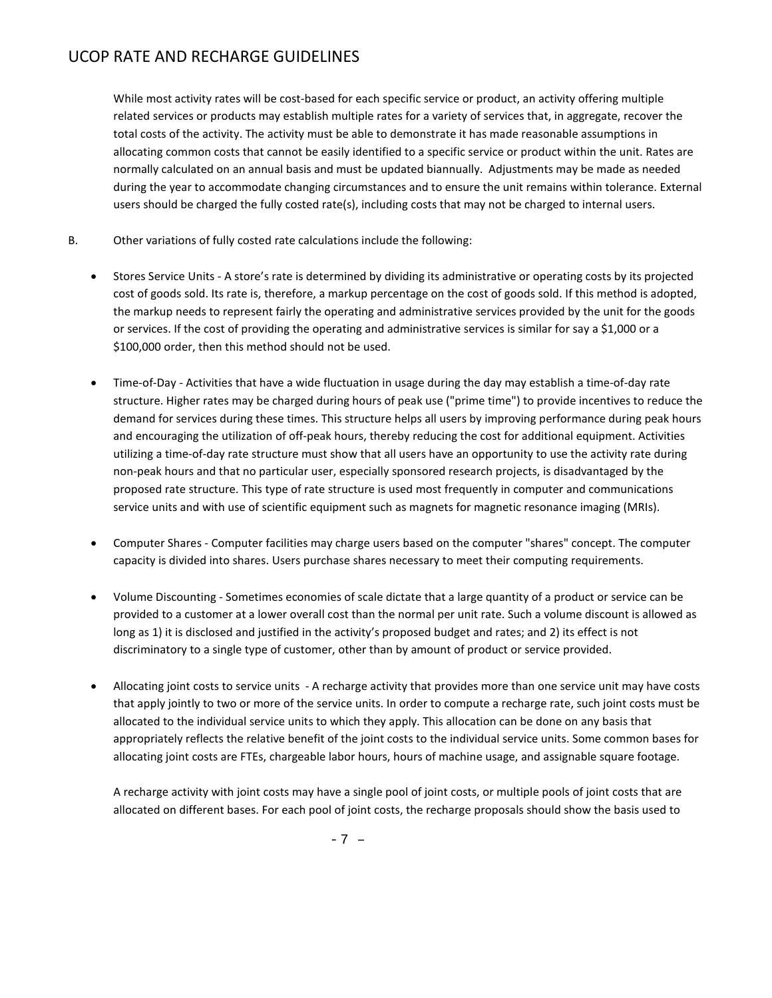While most activity rates will be cost-based for each specific service or product, an activity offering multiple related services or products may establish multiple rates for a variety of services that, in aggregate, recover the total costs of the activity. The activity must be able to demonstrate it has made reasonable assumptions in allocating common costs that cannot be easily identified to a specific service or product within the unit. Rates are normally calculated on an annual basis and must be updated biannually. Adjustments may be made as needed during the year to accommodate changing circumstances and to ensure the unit remains within tolerance. External users should be charged the fully costed rate(s), including costs that may not be charged to internal users.

- B. Other variations of fully costed rate calculations include the following:
	- Stores Service Units A store's rate is determined by dividing its administrative or operating costs by its projected cost of goods sold. Its rate is, therefore, a markup percentage on the cost of goods sold. If this method is adopted, the markup needs to represent fairly the operating and administrative services provided by the unit for the goods or services. If the cost of providing the operating and administrative services is similar for say a \$1,000 or a \$100,000 order, then this method should not be used.
	- Time-of-Day Activities that have a wide fluctuation in usage during the day may establish a time-of-day rate structure. Higher rates may be charged during hours of peak use ("prime time") to provide incentives to reduce the demand for services during these times. This structure helps all users by improving performance during peak hours and encouraging the utilization of off-peak hours, thereby reducing the cost for additional equipment. Activities utilizing a time-of-day rate structure must show that all users have an opportunity to use the activity rate during non-peak hours and that no particular user, especially sponsored research projects, is disadvantaged by the proposed rate structure. This type of rate structure is used most frequently in computer and communications service units and with use of scientific equipment such as magnets for magnetic resonance imaging (MRIs).
	- Computer Shares Computer facilities may charge users based on the computer "shares" concept. The computer capacity is divided into shares. Users purchase shares necessary to meet their computing requirements.
	- Volume Discounting Sometimes economies of scale dictate that a large quantity of a product or service can be provided to a customer at a lower overall cost than the normal per unit rate. Such a volume discount is allowed as long as 1) it is disclosed and justified in the activity's proposed budget and rates; and 2) its effect is not discriminatory to a single type of customer, other than by amount of product or service provided.
	- Allocating joint costs to service units A recharge activity that provides more than one service unit may have costs that apply jointly to two or more of the service units. In order to compute a recharge rate, such joint costs must be allocated to the individual service units to which they apply. This allocation can be done on any basis that appropriately reflects the relative benefit of the joint costs to the individual service units. Some common bases for allocating joint costs are FTEs, chargeable labor hours, hours of machine usage, and assignable square footage.

A recharge activity with joint costs may have a single pool of joint costs, or multiple pools of joint costs that are allocated on different bases. For each pool of joint costs, the recharge proposals should show the basis used to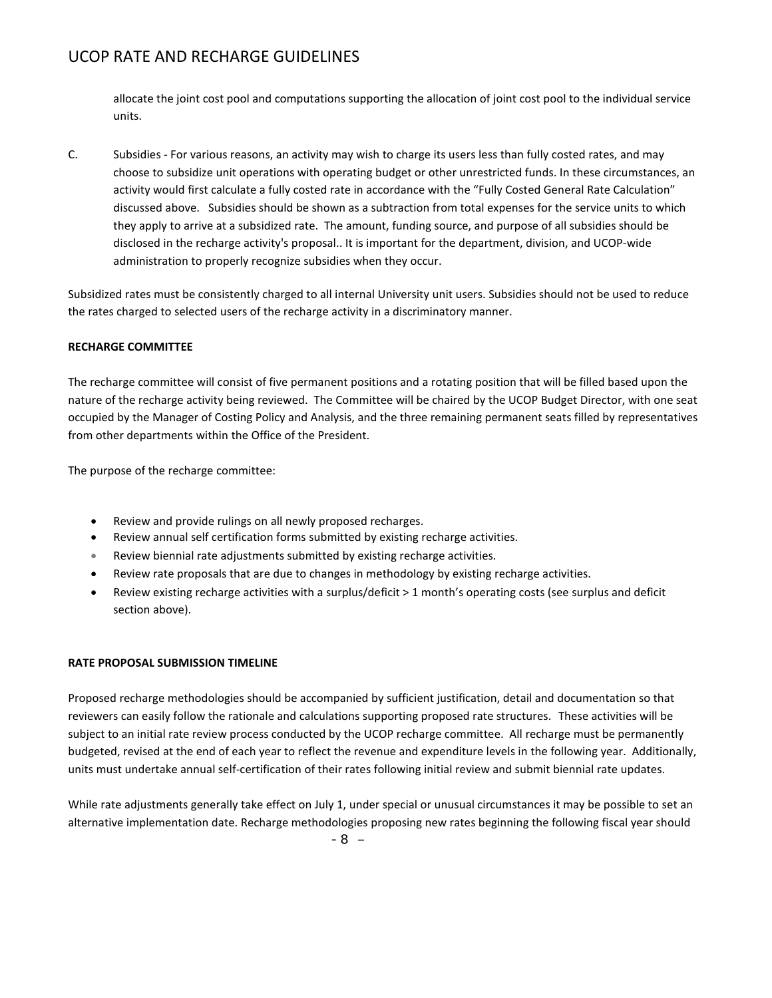allocate the joint cost pool and computations supporting the allocation of joint cost pool to the individual service units.

C. Subsidies - For various reasons, an activity may wish to charge its users less than fully costed rates, and may choose to subsidize unit operations with operating budget or other unrestricted funds. In these circumstances, an activity would first calculate a fully costed rate in accordance with the "Fully Costed General Rate Calculation" discussed above. Subsidies should be shown as a subtraction from total expenses for the service units to which they apply to arrive at a subsidized rate. The amount, funding source, and purpose of all subsidies should be disclosed in the recharge activity's proposal.. It is important for the department, division, and UCOP-wide administration to properly recognize subsidies when they occur.

Subsidized rates must be consistently charged to all internal University unit users. Subsidies should not be used to reduce the rates charged to selected users of the recharge activity in a discriminatory manner.

#### **RECHARGE COMMITTEE**

The recharge committee will consist of five permanent positions and a rotating position that will be filled based upon the nature of the recharge activity being reviewed. The Committee will be chaired by the UCOP Budget Director, with one seat occupied by the Manager of Costing Policy and Analysis, and the three remaining permanent seats filled by representatives from other departments within the Office of the President.

The purpose of the recharge committee:

- Review and provide rulings on all newly proposed recharges.
- Review annual self certification forms submitted by existing recharge activities.
- Review biennial rate adjustments submitted by existing recharge activities.
- Review rate proposals that are due to changes in methodology by existing recharge activities.
- Review existing recharge activities with a surplus/deficit > 1 month's operating costs (see surplus and deficit section above).

#### **RATE PROPOSAL SUBMISSION TIMELINE**

Proposed recharge methodologies should be accompanied by sufficient justification, detail and documentation so that reviewers can easily follow the rationale and calculations supporting proposed rate structures. These activities will be subject to an initial rate review process conducted by the UCOP recharge committee. All recharge must be permanently budgeted, revised at the end of each year to reflect the revenue and expenditure levels in the following year. Additionally, units must undertake annual self-certification of their rates following initial review and submit biennial rate updates.

While rate adjustments generally take effect on July 1, under special or unusual circumstances it may be possible to set an alternative implementation date. Recharge methodologies proposing new rates beginning the following fiscal year should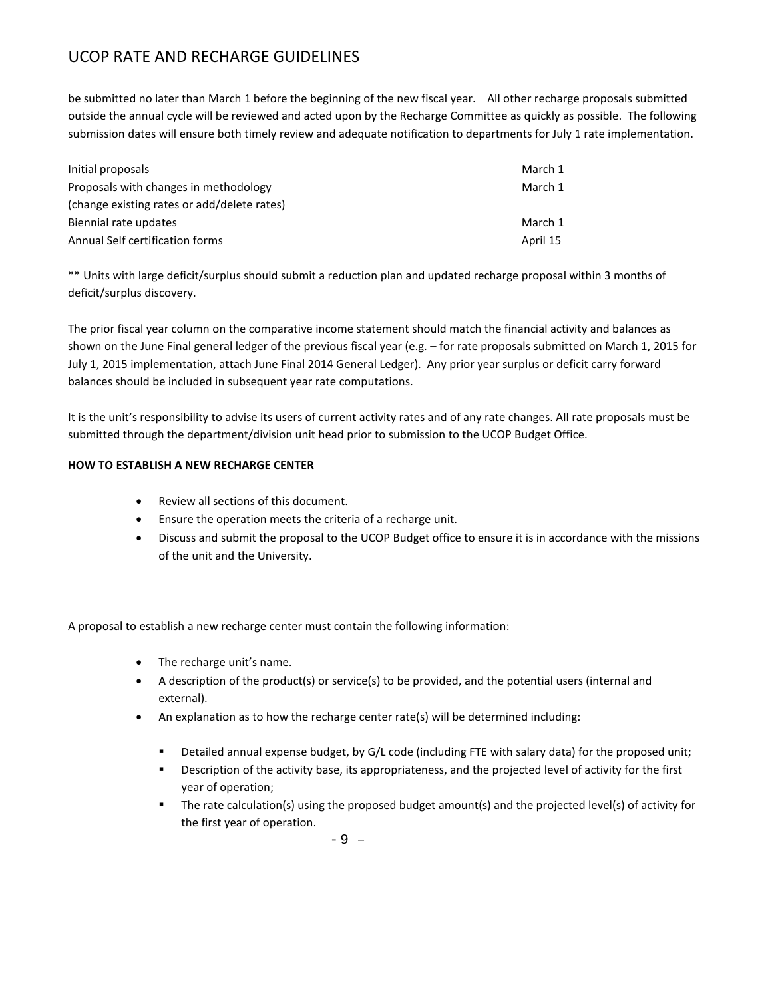be submitted no later than March 1 before the beginning of the new fiscal year. All other recharge proposals submitted outside the annual cycle will be reviewed and acted upon by the Recharge Committee as quickly as possible. The following submission dates will ensure both timely review and adequate notification to departments for July 1 rate implementation.

| Initial proposals                           | March 1  |
|---------------------------------------------|----------|
| Proposals with changes in methodology       | March 1  |
| (change existing rates or add/delete rates) |          |
| Biennial rate updates                       | March 1  |
| Annual Self certification forms             | April 15 |

\*\* Units with large deficit/surplus should submit a reduction plan and updated recharge proposal within 3 months of deficit/surplus discovery.

The prior fiscal year column on the comparative income statement should match the financial activity and balances as shown on the June Final general ledger of the previous fiscal year (e.g. – for rate proposals submitted on March 1, 2015 for July 1, 2015 implementation, attach June Final 2014 General Ledger). Any prior year surplus or deficit carry forward balances should be included in subsequent year rate computations.

It is the unit's responsibility to advise its users of current activity rates and of any rate changes. All rate proposals must be submitted through the department/division unit head prior to submission to the UCOP Budget Office.

#### **HOW TO ESTABLISH A NEW RECHARGE CENTER**

- Review all sections of this document.
- Ensure the operation meets the criteria of a recharge unit.
- Discuss and submit the proposal to the UCOP Budget office to ensure it is in accordance with the missions of the unit and the University.

A proposal to establish a new recharge center must contain the following information:

- The recharge unit's name.
- A description of the product(s) or service(s) to be provided, and the potential users (internal and external).
- An explanation as to how the recharge center rate(s) will be determined including:
	- Detailed annual expense budget, by G/L code (including FTE with salary data) for the proposed unit;
	- Description of the activity base, its appropriateness, and the projected level of activity for the first year of operation;
	- The rate calculation(s) using the proposed budget amount(s) and the projected level(s) of activity for the first year of operation.